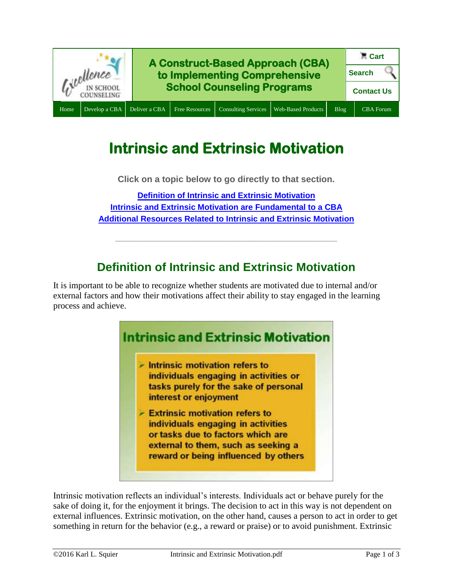

# **Intrinsic and Extrinsic Motivation**

**Click on a topic below to go directly to that section.**

**[Definition of Intrinsic and Extrinsic Motivation](#page-0-0) [Intrinsic and Extrinsic Motivation are](#page-1-0) Fundamental to a CBA [Additional Resources Related to Intrinsic and Extrinsic Motivation](#page-1-1)**

# **Definition of Intrinsic and Extrinsic Motivation**

**\_\_\_\_\_\_\_\_\_\_\_\_\_\_\_\_\_\_\_\_\_\_\_\_\_\_\_\_\_\_\_\_\_\_\_\_\_\_\_\_\_\_\_\_\_**

<span id="page-0-0"></span>It is important to be able to recognize whether students are motivated due to internal and/or external factors and how their motivations affect their ability to stay engaged in the learning process and achieve.



- $\sim$  Intrinsic motivation refers to individuals engaging in activities or tasks purely for the sake of personal interest or enjoyment
- $\geq$  Extrinsic motivation refers to individuals engaging in activities or tasks due to factors which are external to them, such as seeking a reward or being influenced by others

Intrinsic motivation reflects an individual's interests. Individuals act or behave purely for the sake of doing it, for the enjoyment it brings. The decision to act in this way is not dependent on external influences. Extrinsic motivation, on the other hand, causes a person to act in order to get something in return for the behavior (e.g., a reward or praise) or to avoid punishment. Extrinsic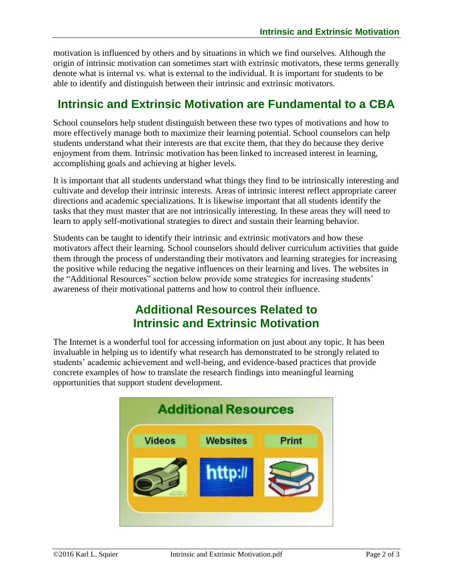motivation is influenced by others and by situations in which we find ourselves. Although the origin of intrinsic motivation can sometimes start with extrinsic motivators, these terms generally denote what is internal vs. what is external to the individual. It is important for students to be able to identify and distinguish between their intrinsic and extrinsic motivators.

## <span id="page-1-0"></span>**Intrinsic and Extrinsic Motivation are Fundamental to a CBA**

School counselors help student distinguish between these two types of motivations and how to more effectively manage both to maximize their learning potential. School counselors can help students understand what their interests are that excite them, that they do because they derive enjoyment from them. Intrinsic motivation has been linked to increased interest in learning, accomplishing goals and achieving at higher levels.

It is important that all students understand what things they find to be intrinsically interesting and cultivate and develop their intrinsic interests. Areas of intrinsic interest reflect appropriate career directions and academic specializations. It is likewise important that all students identify the tasks that they must master that are not intrinsically interesting. In these areas they will need to learn to apply self-motivational strategies to direct and sustain their learning behavior.

Students can be taught to identify their intrinsic and extrinsic motivators and how these motivators affect their learning. School counselors should deliver curriculum activities that guide them through the process of understanding their motivators and learning strategies for increasing the positive while reducing the negative influences on their learning and lives. The websites in the "Additional Resources" section below provide some strategies for increasing students' awareness of their motivational patterns and how to control their influence.

## **Additional Resources Related to Intrinsic and Extrinsic Motivation**

<span id="page-1-1"></span>The Internet is a wonderful tool for accessing information on just about any topic. It has been invaluable in helping us to identify what research has demonstrated to be strongly related to students' academic achievement and well-being, and evidence-based practices that provide concrete examples of how to translate the research findings into meaningful learning opportunities that support student development.